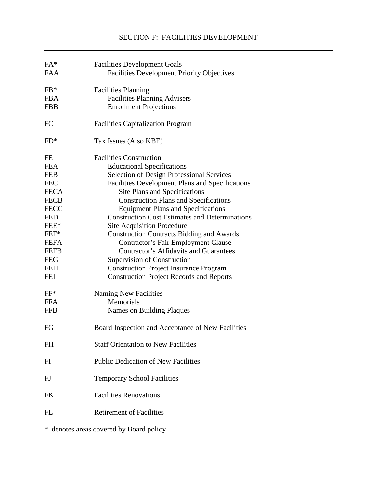| $FA*$       | <b>Facilities Development Goals</b>                   |
|-------------|-------------------------------------------------------|
| <b>FAA</b>  | <b>Facilities Development Priority Objectives</b>     |
| $FB*$       | <b>Facilities Planning</b>                            |
| <b>FBA</b>  | <b>Facilities Planning Advisers</b>                   |
| <b>FBB</b>  | <b>Enrollment Projections</b>                         |
| <b>FC</b>   | <b>Facilities Capitalization Program</b>              |
| $FD*$       | Tax Issues (Also KBE)                                 |
| FE          | <b>Facilities Construction</b>                        |
| <b>FEA</b>  | <b>Educational Specifications</b>                     |
| <b>FEB</b>  | <b>Selection of Design Professional Services</b>      |
| <b>FEC</b>  | Facilities Development Plans and Specifications       |
| <b>FECA</b> | Site Plans and Specifications                         |
| <b>FECB</b> | <b>Construction Plans and Specifications</b>          |
| <b>FECC</b> | <b>Equipment Plans and Specifications</b>             |
| <b>FED</b>  | <b>Construction Cost Estimates and Determinations</b> |
| FEE*        | <b>Site Acquisition Procedure</b>                     |
| FEF*        | <b>Construction Contracts Bidding and Awards</b>      |
| <b>FEFA</b> | <b>Contractor's Fair Employment Clause</b>            |
| <b>FEFB</b> | <b>Contractor's Affidavits and Guarantees</b>         |
| <b>FEG</b>  | Supervision of Construction                           |
| <b>FEH</b>  | <b>Construction Project Insurance Program</b>         |
| <b>FEI</b>  | <b>Construction Project Records and Reports</b>       |
| $FF*$       | Naming New Facilities                                 |
| <b>FFA</b>  | Memorials                                             |
| <b>FFB</b>  | Names on Building Plaques                             |
| FG          | Board Inspection and Acceptance of New Facilities     |
| <b>FH</b>   | <b>Staff Orientation to New Facilities</b>            |
| FI          | <b>Public Dedication of New Facilities</b>            |
| FJ          | <b>Temporary School Facilities</b>                    |
| <b>FK</b>   | <b>Facilities Renovations</b>                         |
| <b>FL</b>   | <b>Retirement of Facilities</b>                       |
|             |                                                       |

\* denotes areas covered by Board policy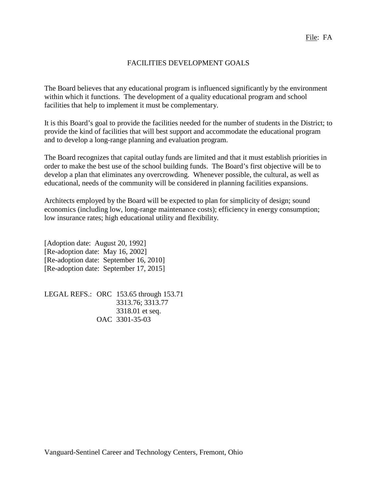## FACILITIES DEVELOPMENT GOALS

The Board believes that any educational program is influenced significantly by the environment within which it functions. The development of a quality educational program and school facilities that help to implement it must be complementary.

It is this Board's goal to provide the facilities needed for the number of students in the District; to provide the kind of facilities that will best support and accommodate the educational program and to develop a long-range planning and evaluation program.

The Board recognizes that capital outlay funds are limited and that it must establish priorities in order to make the best use of the school building funds. The Board's first objective will be to develop a plan that eliminates any overcrowding. Whenever possible, the cultural, as well as educational, needs of the community will be considered in planning facilities expansions.

Architects employed by the Board will be expected to plan for simplicity of design; sound economics (including low, long-range maintenance costs); efficiency in energy consumption; low insurance rates; high educational utility and flexibility.

[Adoption date: August 20, 1992] [Re-adoption date: May 16, 2002] [Re-adoption date: September 16, 2010] [Re-adoption date: September 17, 2015]

LEGAL REFS.: ORC 153.65 through 153.71 3313.76; 3313.77 3318.01 et seq. OAC 3301-35-03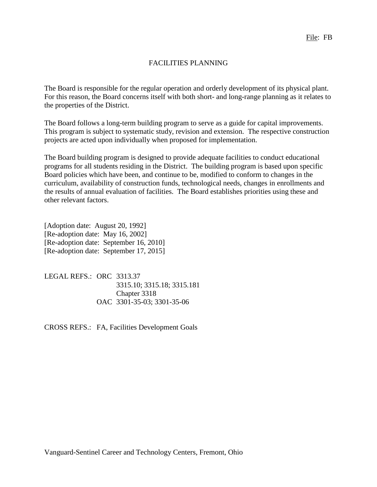## FACILITIES PLANNING

The Board is responsible for the regular operation and orderly development of its physical plant. For this reason, the Board concerns itself with both short- and long-range planning as it relates to the properties of the District.

The Board follows a long-term building program to serve as a guide for capital improvements. This program is subject to systematic study, revision and extension. The respective construction projects are acted upon individually when proposed for implementation.

The Board building program is designed to provide adequate facilities to conduct educational programs for all students residing in the District. The building program is based upon specific Board policies which have been, and continue to be, modified to conform to changes in the curriculum, availability of construction funds, technological needs, changes in enrollments and the results of annual evaluation of facilities. The Board establishes priorities using these and other relevant factors.

[Adoption date: August 20, 1992] [Re-adoption date: May 16, 2002] [Re-adoption date: September 16, 2010] [Re-adoption date: September 17, 2015]

LEGAL REFS.: ORC 3313.37 3315.10; 3315.18; 3315.181 Chapter 3318 OAC 3301-35-03; 3301-35-06

CROSS REFS.: FA, Facilities Development Goals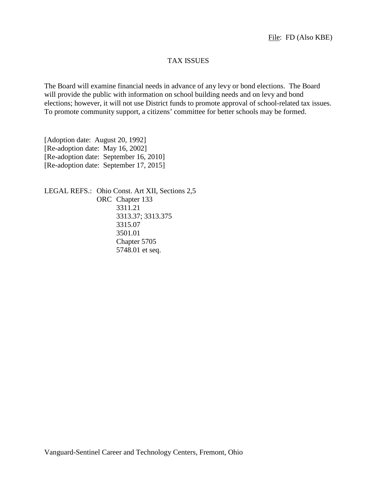## TAX ISSUES

The Board will examine financial needs in advance of any levy or bond elections. The Board will provide the public with information on school building needs and on levy and bond elections; however, it will not use District funds to promote approval of school-related tax issues. To promote community support, a citizens' committee for better schools may be formed.

[Adoption date: August 20, 1992] [Re-adoption date: May 16, 2002] [Re-adoption date: September 16, 2010] [Re-adoption date: September 17, 2015]

LEGAL REFS.: Ohio Const. Art XII, Sections 2,5 ORC Chapter 133 3311.21 3313.37; 3313.375 3315.07 3501.01 Chapter 5705 5748.01 et seq.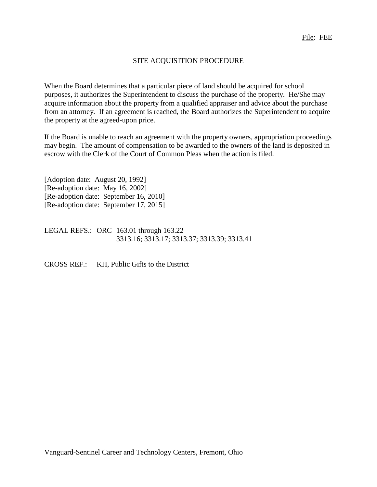# SITE ACQUISITION PROCEDURE

When the Board determines that a particular piece of land should be acquired for school purposes, it authorizes the Superintendent to discuss the purchase of the property. He/She may acquire information about the property from a qualified appraiser and advice about the purchase from an attorney. If an agreement is reached, the Board authorizes the Superintendent to acquire the property at the agreed-upon price.

If the Board is unable to reach an agreement with the property owners, appropriation proceedings may begin. The amount of compensation to be awarded to the owners of the land is deposited in escrow with the Clerk of the Court of Common Pleas when the action is filed.

[Adoption date: August 20, 1992] [Re-adoption date: May 16, 2002] [Re-adoption date: September 16, 2010] [Re-adoption date: September 17, 2015]

LEGAL REFS.: ORC 163.01 through 163.22 3313.16; 3313.17; 3313.37; 3313.39; 3313.41

CROSS REF.: KH, Public Gifts to the District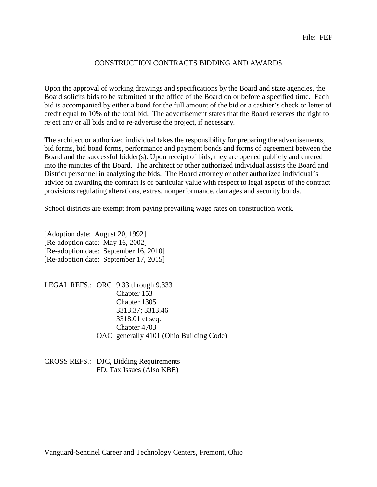#### CONSTRUCTION CONTRACTS BIDDING AND AWARDS

Upon the approval of working drawings and specifications by the Board and state agencies, the Board solicits bids to be submitted at the office of the Board on or before a specified time. Each bid is accompanied by either a bond for the full amount of the bid or a cashier's check or letter of credit equal to 10% of the total bid. The advertisement states that the Board reserves the right to reject any or all bids and to re-advertise the project, if necessary.

The architect or authorized individual takes the responsibility for preparing the advertisements, bid forms, bid bond forms, performance and payment bonds and forms of agreement between the Board and the successful bidder(s). Upon receipt of bids, they are opened publicly and entered into the minutes of the Board. The architect or other authorized individual assists the Board and District personnel in analyzing the bids. The Board attorney or other authorized individual's advice on awarding the contract is of particular value with respect to legal aspects of the contract provisions regulating alterations, extras, nonperformance, damages and security bonds.

School districts are exempt from paying prevailing wage rates on construction work.

[Adoption date: August 20, 1992] [Re-adoption date: May 16, 2002] [Re-adoption date: September 16, 2010] [Re-adoption date: September 17, 2015]

LEGAL REFS.: ORC 9.33 through 9.333 Chapter 153 Chapter 1305 3313.37; 3313.46 3318.01 et seq. Chapter 4703 OAC generally 4101 (Ohio Building Code)

CROSS REFS.: DJC, Bidding Requirements FD, Tax Issues (Also KBE)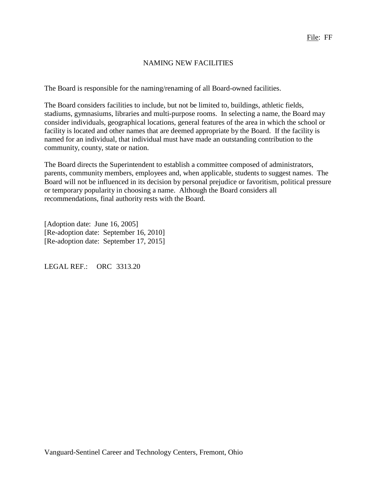## NAMING NEW FACILITIES

The Board is responsible for the naming/renaming of all Board-owned facilities.

The Board considers facilities to include, but not be limited to, buildings, athletic fields, stadiums, gymnasiums, libraries and multi-purpose rooms. In selecting a name, the Board may consider individuals, geographical locations, general features of the area in which the school or facility is located and other names that are deemed appropriate by the Board. If the facility is named for an individual, that individual must have made an outstanding contribution to the community, county, state or nation.

The Board directs the Superintendent to establish a committee composed of administrators, parents, community members, employees and, when applicable, students to suggest names. The Board will not be influenced in its decision by personal prejudice or favoritism, political pressure or temporary popularity in choosing a name. Although the Board considers all recommendations, final authority rests with the Board.

[Adoption date: June 16, 2005] [Re-adoption date: September 16, 2010] [Re-adoption date: September 17, 2015]

LEGAL REF.: ORC 3313.20